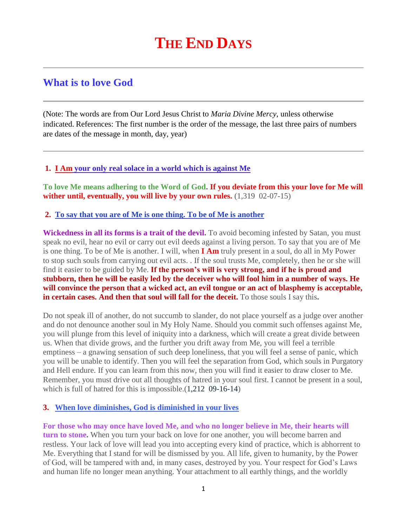# **THE END DAYS**

# **What is to love God**

(Note: The words are from Our Lord Jesus Christ to *Maria Divine Mercy*, unless otherwise indicated. References: The first number is the order of the message, the last three pairs of numbers are dates of the message in month, day, year)

#### **1. I Am [your only real solace in a world which is against Me](http://www.thewarningsecondcoming.com/i-am-your-only-real-solace-in-a-world-which-is-against-me/)**

**To love Me means adhering to the Word of God. If you deviate from this your love for Me will wither until, eventually, you will live by your own rules.** (1,319 02-07-15)

#### **2. [To say that you are of Me is one thing. To be of Me is](http://www.thewarningsecondcoming.com/to-say-that-you-are-of-me-is-one-thing-to-be-of-me-is-another/) another**

**Wickedness in all its forms is a trait of the devil.** To avoid becoming infested by Satan, you must speak no evil, hear no evil or carry out evil deeds against a living person. To say that you are of Me is one thing. To be of Me is another. I will, when **I Am** truly present in a soul, do all in My Power to stop such souls from carrying out evil acts. . If the soul trusts Me, completely, then he or she will find it easier to be guided by Me. **If the person's will is very strong, and if he is proud and stubborn, then he will be easily led by the deceiver who will fool him in a number of ways. He will convince the person that a wicked act, an evil tongue or an act of blasphemy is acceptable, in certain cases. And then that soul will fall for the deceit.** To those souls I say this.

Do not speak ill of another, do not succumb to slander, do not place yourself as a judge over another and do not denounce another soul in My Holy Name. Should you commit such offenses against Me, you will plunge from this level of iniquity into a darkness, which will create a great divide between us. When that divide grows, and the further you drift away from Me, you will feel a terrible emptiness – a gnawing sensation of such deep loneliness, that you will feel a sense of panic, which you will be unable to identify. Then you will feel the separation from God, which souls in Purgatory and Hell endure. If you can learn from this now, then you will find it easier to draw closer to Me. Remember, you must drive out all thoughts of hatred in your soul first. I cannot be present in a soul, which is full of hatred for this is impossible.(1,212 09-16-14)

# **3. [When love diminishes, God is diminished in your lives](http://www.thewarningsecondcoming.com/when-love-diminishes-god-is-diminished-in-your-lives/)**

**For those who may once have loved Me, and who no longer believe in Me, their hearts will turn to stone.** When you turn your back on love for one another, you will become barren and restless. Your lack of love will lead you into accepting every kind of practice, which is abhorrent to Me. Everything that I stand for will be dismissed by you. All life, given to humanity, by the Power of God, will be tampered with and, in many cases, destroyed by you. Your respect for God's Laws and human life no longer mean anything. Your attachment to all earthly things, and the worldly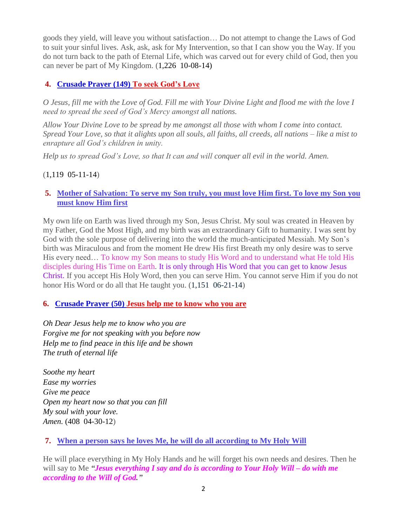goods they yield, will leave you without satisfaction… Do not attempt to change the Laws of God to suit your sinful lives. Ask, ask, ask for My Intervention, so that I can show you the Way. If you do not turn back to the path of Eternal Life, which was carved out for every child of God, then you can never be part of My Kingdom. (1,226 10-08-14)

# **4. Crusade Prayer (149) To seek God's Love**

*O Jesus, fill me with the Love of God. Fill me with Your Divine Light and flood me with the love I need to spread the seed of God's Mercy amongst all nations.*

*Allow Your Divine Love to be spread by me amongst all those with whom I come into contact. Spread Your Love, so that it alights upon all souls, all faiths, all creeds, all nations – like a mist to enrapture all God's children in unity.*

*Help us to spread God's Love, so that It can and will conquer all evil in the world. Amen.*

# (1,119 05-11-14)

# **5. [Mother of Salvation: To serve my Son truly, you must love Him first. To love my Son you](http://www.thewarningsecondcoming.com/mother-of-salvation-to-serve-my-son-truly-you-must-love-him-first-to-love-my-son-you-must-know-him-first/)  [must know Him first](http://www.thewarningsecondcoming.com/mother-of-salvation-to-serve-my-son-truly-you-must-love-him-first-to-love-my-son-you-must-know-him-first/)**

My own life on Earth was lived through my Son, Jesus Christ. My soul was created in Heaven by my Father, God the Most High, and my birth was an extraordinary Gift to humanity. I was sent by God with the sole purpose of delivering into the world the much-anticipated Messiah. My Son's birth was Miraculous and from the moment He drew His first Breath my only desire was to serve His every need… To know my Son means to study His Word and to understand what He told His disciples during His Time on Earth. It is only through His Word that you can get to know Jesus Christ. If you accept His Holy Word, then you can serve Him. You cannot serve Him if you do not honor His Word or do all that He taught you.  $(1,151 \ 06-21-14)$ 

# **6. Crusade Prayer (50) Jesus help me to know who you are**

*Oh Dear Jesus help me to know who you are Forgive me for not speaking with you before now Help me to find peace in this life and be shown The truth of eternal life*

*Soothe my heart Ease my worries Give me peace Open my heart now so that you can fill My soul with your love. Amen.* (408 04-30-12)

# **7. [When a person says he loves Me, he will do all according to My Holy Will](http://www.thewarningsecondcoming.com/when-a-person-says-he-loves-me-he-will-do-all-according-to-my-holy-will/)**

He will place everything in My Holy Hands and he will forget his own needs and desires. Then he will say to Me *"Jesus everything I say and do is according to Your Holy Will – do with me according to the Will of God."*